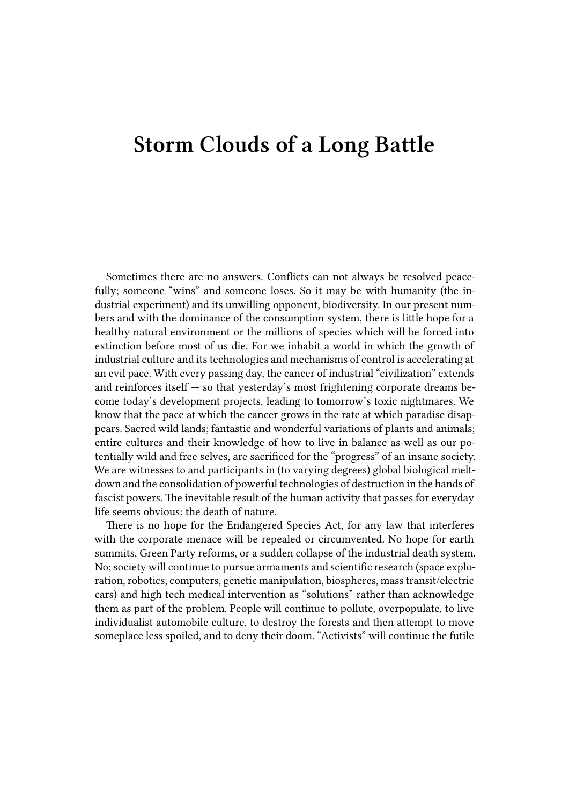## **Storm Clouds of a Long Battle**

Sometimes there are no answers. Conflicts can not always be resolved peacefully; someone "wins" and someone loses. So it may be with humanity (the industrial experiment) and its unwilling opponent, biodiversity. In our present numbers and with the dominance of the consumption system, there is little hope for a healthy natural environment or the millions of species which will be forced into extinction before most of us die. For we inhabit a world in which the growth of industrial culture and its technologies and mechanisms of control is accelerating at an evil pace. With every passing day, the cancer of industrial "civilization" extends and reinforces itself — so that yesterday's most frightening corporate dreams become today's development projects, leading to tomorrow's toxic nightmares. We know that the pace at which the cancer grows in the rate at which paradise disappears. Sacred wild lands; fantastic and wonderful variations of plants and animals; entire cultures and their knowledge of how to live in balance as well as our potentially wild and free selves, are sacrificed for the "progress" of an insane society. We are witnesses to and participants in (to varying degrees) global biological meltdown and the consolidation of powerful technologies of destruction in the hands of fascist powers. The inevitable result of the human activity that passes for everyday life seems obvious: the death of nature.

There is no hope for the Endangered Species Act, for any law that interferes with the corporate menace will be repealed or circumvented. No hope for earth summits, Green Party reforms, or a sudden collapse of the industrial death system. No; society will continue to pursue armaments and scientific research (space exploration, robotics, computers, genetic manipulation, biospheres, mass transit/electric cars) and high tech medical intervention as "solutions" rather than acknowledge them as part of the problem. People will continue to pollute, overpopulate, to live individualist automobile culture, to destroy the forests and then attempt to move someplace less spoiled, and to deny their doom. "Activists" will continue the futile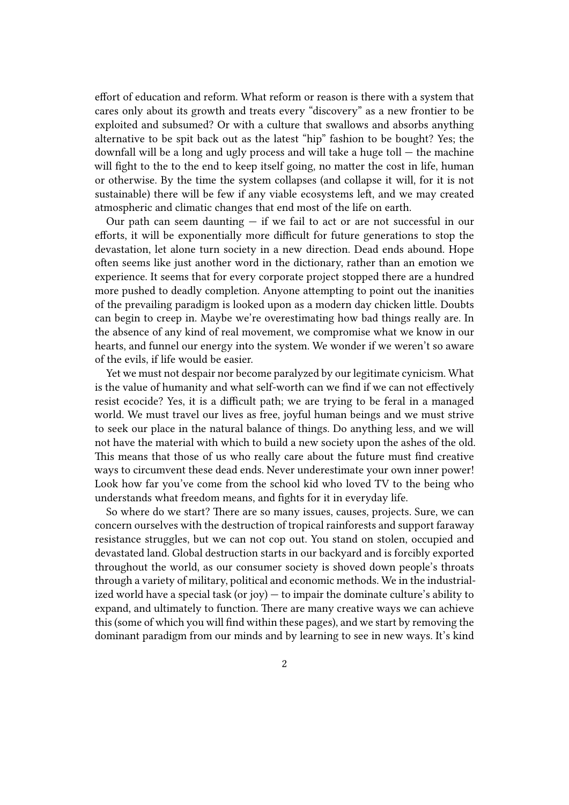effort of education and reform. What reform or reason is there with a system that cares only about its growth and treats every "discovery" as a new frontier to be exploited and subsumed? Or with a culture that swallows and absorbs anything alternative to be spit back out as the latest "hip" fashion to be bought? Yes; the downfall will be a long and ugly process and will take a huge toll  $-$  the machine will fight to the to the end to keep itself going, no matter the cost in life, human or otherwise. By the time the system collapses (and collapse it will, for it is not sustainable) there will be few if any viable ecosystems left, and we may created atmospheric and climatic changes that end most of the life on earth.

Our path can seem daunting  $-$  if we fail to act or are not successful in our efforts, it will be exponentially more difficult for future generations to stop the devastation, let alone turn society in a new direction. Dead ends abound. Hope often seems like just another word in the dictionary, rather than an emotion we experience. It seems that for every corporate project stopped there are a hundred more pushed to deadly completion. Anyone attempting to point out the inanities of the prevailing paradigm is looked upon as a modern day chicken little. Doubts can begin to creep in. Maybe we're overestimating how bad things really are. In the absence of any kind of real movement, we compromise what we know in our hearts, and funnel our energy into the system. We wonder if we weren't so aware of the evils, if life would be easier.

Yet we must not despair nor become paralyzed by our legitimate cynicism. What is the value of humanity and what self-worth can we find if we can not effectively resist ecocide? Yes, it is a difficult path; we are trying to be feral in a managed world. We must travel our lives as free, joyful human beings and we must strive to seek our place in the natural balance of things. Do anything less, and we will not have the material with which to build a new society upon the ashes of the old. This means that those of us who really care about the future must find creative ways to circumvent these dead ends. Never underestimate your own inner power! Look how far you've come from the school kid who loved TV to the being who understands what freedom means, and fights for it in everyday life.

So where do we start? There are so many issues, causes, projects. Sure, we can concern ourselves with the destruction of tropical rainforests and support faraway resistance struggles, but we can not cop out. You stand on stolen, occupied and devastated land. Global destruction starts in our backyard and is forcibly exported throughout the world, as our consumer society is shoved down people's throats through a variety of military, political and economic methods. We in the industrialized world have a special task (or joy) — to impair the dominate culture's ability to expand, and ultimately to function. There are many creative ways we can achieve this (some of which you will find within these pages), and we start by removing the dominant paradigm from our minds and by learning to see in new ways. It's kind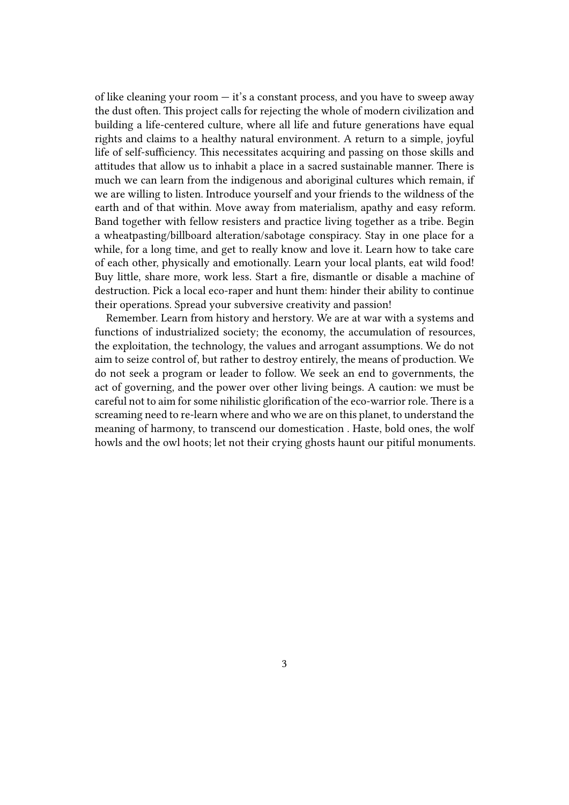of like cleaning your room  $-$  it's a constant process, and you have to sweep away the dust often. This project calls for rejecting the whole of modern civilization and building a life-centered culture, where all life and future generations have equal rights and claims to a healthy natural environment. A return to a simple, joyful life of self-sufficiency. This necessitates acquiring and passing on those skills and attitudes that allow us to inhabit a place in a sacred sustainable manner. There is much we can learn from the indigenous and aboriginal cultures which remain, if we are willing to listen. Introduce yourself and your friends to the wildness of the earth and of that within. Move away from materialism, apathy and easy reform. Band together with fellow resisters and practice living together as a tribe. Begin a wheatpasting/billboard alteration/sabotage conspiracy. Stay in one place for a while, for a long time, and get to really know and love it. Learn how to take care of each other, physically and emotionally. Learn your local plants, eat wild food! Buy little, share more, work less. Start a fire, dismantle or disable a machine of destruction. Pick a local eco-raper and hunt them: hinder their ability to continue their operations. Spread your subversive creativity and passion!

Remember. Learn from history and herstory. We are at war with a systems and functions of industrialized society; the economy, the accumulation of resources, the exploitation, the technology, the values and arrogant assumptions. We do not aim to seize control of, but rather to destroy entirely, the means of production. We do not seek a program or leader to follow. We seek an end to governments, the act of governing, and the power over other living beings. A caution: we must be careful not to aim for some nihilistic glorification of the eco-warrior role. There is a screaming need to re-learn where and who we are on this planet, to understand the meaning of harmony, to transcend our domestication . Haste, bold ones, the wolf howls and the owl hoots; let not their crying ghosts haunt our pitiful monuments.